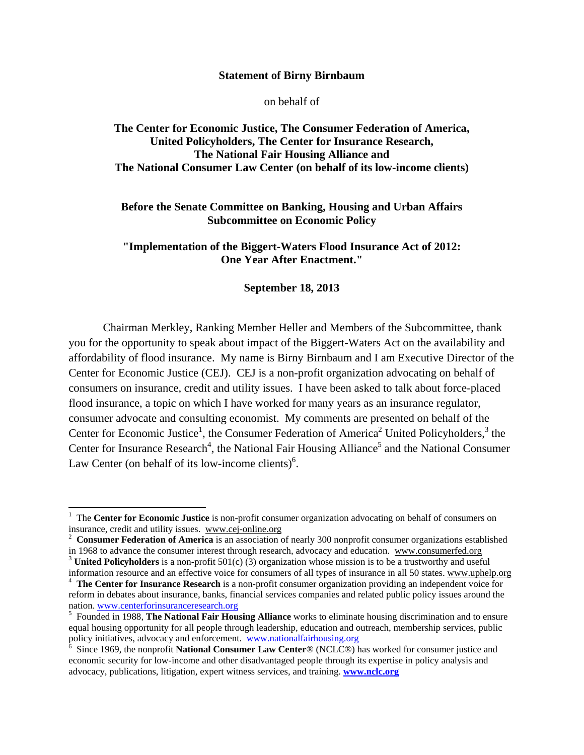#### **Statement of Birny Birnbaum**

on behalf of

## **The Center for Economic Justice, The Consumer Federation of America, United Policyholders, The Center for Insurance Research, The National Fair Housing Alliance and The National Consumer Law Center (on behalf of its low-income clients)**

## **Before the Senate Committee on Banking, Housing and Urban Affairs Subcommittee on Economic Policy**

**"Implementation of the Biggert-Waters Flood Insurance Act of 2012: One Year After Enactment."** 

#### **September 18, 2013**

Chairman Merkley, Ranking Member Heller and Members of the Subcommittee, thank you for the opportunity to speak about impact of the Biggert-Waters Act on the availability and affordability of flood insurance. My name is Birny Birnbaum and I am Executive Director of the Center for Economic Justice (CEJ). CEJ is a non-profit organization advocating on behalf of consumers on insurance, credit and utility issues. I have been asked to talk about force-placed flood insurance, a topic on which I have worked for many years as an insurance regulator, consumer advocate and consulting economist. My comments are presented on behalf of the Center for Economic Justice<sup>1</sup>, the Consumer Federation of America<sup>2</sup> United Policyholders,<sup>3</sup> the Center for Insurance Research<sup>4</sup>, the National Fair Housing Alliance<sup>5</sup> and the National Consumer Law Center (on behalf of its low-income clients) $<sup>6</sup>$ .</sup>

<sup>&</sup>lt;sup>1</sup> The **Center for Economic Justice** is non-profit consumer organization advocating on behalf of consumers on insurance, credit and utility issues. www.cej-online.org

<sup>&</sup>lt;sup>2</sup> Consumer Federation of America is an association of nearly 300 nonprofit consumer organizations established in 1968 to advance the consumer interest through research, advocacy and education. www.consumerfed.org 3 **United Policyholders** is a non-profit 501(c) (3) organization whose mission is to be a trustworthy and useful

information resource and an effective voice for consumers of all types of insurance in all 50 states. www.uphelp.org 4 <sup>4</sup> The Center for Insurance Research is a non-profit consumer organization providing an independent voice for

reform in debates about insurance, banks, financial services companies and related public policy issues around the nation. www.centerforinsuranceresearch.org <sup>5</sup>

Founded in 1988, **The National Fair Housing Alliance** works to eliminate housing discrimination and to ensure equal housing opportunity for all people through leadership, education and outreach, membership services, public policy initiatives, advocacy and enforcement. www.nationalfairhousing.org 6 Since 1060 d.

Since 1969, the nonprofit **National Consumer Law Center**® (NCLC®) has worked for consumer justice and economic security for low-income and other disadvantaged people through its expertise in policy analysis and advocacy, publications, litigation, expert witness services, and training. **www.nclc.org**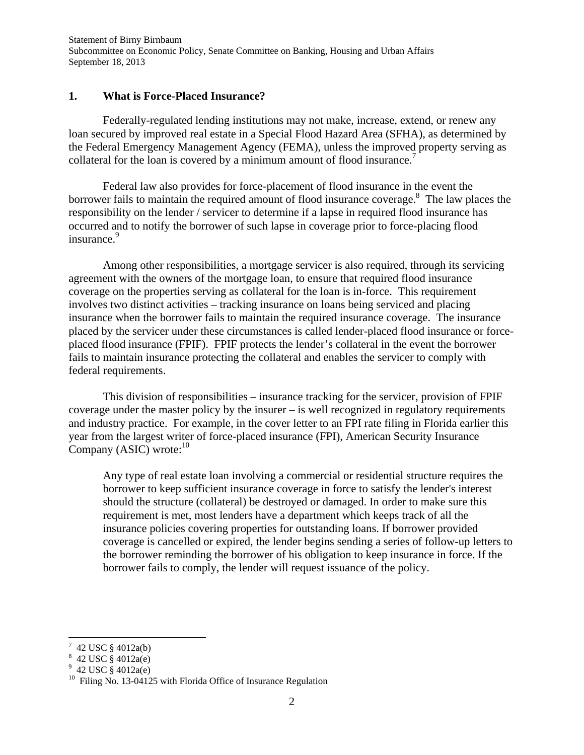#### **1. What is Force-Placed Insurance?**

Federally-regulated lending institutions may not make, increase, extend, or renew any loan secured by improved real estate in a Special Flood Hazard Area (SFHA), as determined by the Federal Emergency Management Agency (FEMA), unless the improved property serving as collateral for the loan is covered by a minimum amount of flood insurance.<sup>7</sup>

Federal law also provides for force-placement of flood insurance in the event the borrower fails to maintain the required amount of flood insurance coverage. $8$  The law places the responsibility on the lender / servicer to determine if a lapse in required flood insurance has occurred and to notify the borrower of such lapse in coverage prior to force-placing flood insurance.<sup>9</sup>

Among other responsibilities, a mortgage servicer is also required, through its servicing agreement with the owners of the mortgage loan, to ensure that required flood insurance coverage on the properties serving as collateral for the loan is in-force. This requirement involves two distinct activities – tracking insurance on loans being serviced and placing insurance when the borrower fails to maintain the required insurance coverage. The insurance placed by the servicer under these circumstances is called lender-placed flood insurance or forceplaced flood insurance (FPIF). FPIF protects the lender's collateral in the event the borrower fails to maintain insurance protecting the collateral and enables the servicer to comply with federal requirements.

This division of responsibilities – insurance tracking for the servicer, provision of FPIF coverage under the master policy by the insurer – is well recognized in regulatory requirements and industry practice. For example, in the cover letter to an FPI rate filing in Florida earlier this year from the largest writer of force-placed insurance (FPI), American Security Insurance Company (ASIC) wrote: $10$ 

Any type of real estate loan involving a commercial or residential structure requires the borrower to keep sufficient insurance coverage in force to satisfy the lender's interest should the structure (collateral) be destroyed or damaged. In order to make sure this requirement is met, most lenders have a department which keeps track of all the insurance policies covering properties for outstanding loans. If borrower provided coverage is cancelled or expired, the lender begins sending a series of follow-up letters to the borrower reminding the borrower of his obligation to keep insurance in force. If the borrower fails to comply, the lender will request issuance of the policy.

 $7\,$  42 USC § 4012a(b)

<sup>8</sup> 42 USC § 4012a(e)

<sup>&</sup>lt;sup>9</sup> 42 USC § 4012a(e)

<sup>&</sup>lt;sup>10</sup> Filing No. 13-04125 with Florida Office of Insurance Regulation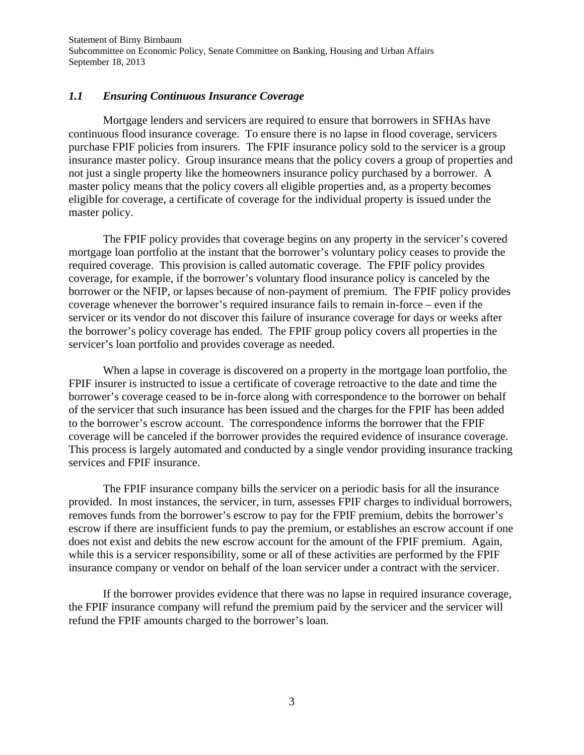## *1.1 Ensuring Continuous Insurance Coverage*

Mortgage lenders and servicers are required to ensure that borrowers in SFHAs have continuous flood insurance coverage. To ensure there is no lapse in flood coverage, servicers purchase FPIF policies from insurers. The FPIF insurance policy sold to the servicer is a group insurance master policy. Group insurance means that the policy covers a group of properties and not just a single property like the homeowners insurance policy purchased by a borrower. A master policy means that the policy covers all eligible properties and, as a property becomes eligible for coverage, a certificate of coverage for the individual property is issued under the master policy.

The FPIF policy provides that coverage begins on any property in the servicer's covered mortgage loan portfolio at the instant that the borrower's voluntary policy ceases to provide the required coverage. This provision is called automatic coverage. The FPIF policy provides coverage, for example, if the borrower's voluntary flood insurance policy is canceled by the borrower or the NFIP, or lapses because of non-payment of premium. The FPIF policy provides coverage whenever the borrower's required insurance fails to remain in-force – even if the servicer or its vendor do not discover this failure of insurance coverage for days or weeks after the borrower's policy coverage has ended. The FPIF group policy covers all properties in the servicer's loan portfolio and provides coverage as needed.

When a lapse in coverage is discovered on a property in the mortgage loan portfolio, the FPIF insurer is instructed to issue a certificate of coverage retroactive to the date and time the borrower's coverage ceased to be in-force along with correspondence to the borrower on behalf of the servicer that such insurance has been issued and the charges for the FPIF has been added to the borrower's escrow account. The correspondence informs the borrower that the FPIF coverage will be canceled if the borrower provides the required evidence of insurance coverage. This process is largely automated and conducted by a single vendor providing insurance tracking services and FPIF insurance.

The FPIF insurance company bills the servicer on a periodic basis for all the insurance provided. In most instances, the servicer, in turn, assesses FPIF charges to individual borrowers, removes funds from the borrower's escrow to pay for the FPIF premium, debits the borrower's escrow if there are insufficient funds to pay the premium, or establishes an escrow account if one does not exist and debits the new escrow account for the amount of the FPIF premium. Again, while this is a servicer responsibility, some or all of these activities are performed by the FPIF insurance company or vendor on behalf of the loan servicer under a contract with the servicer.

If the borrower provides evidence that there was no lapse in required insurance coverage, the FPIF insurance company will refund the premium paid by the servicer and the servicer will refund the FPIF amounts charged to the borrower's loan.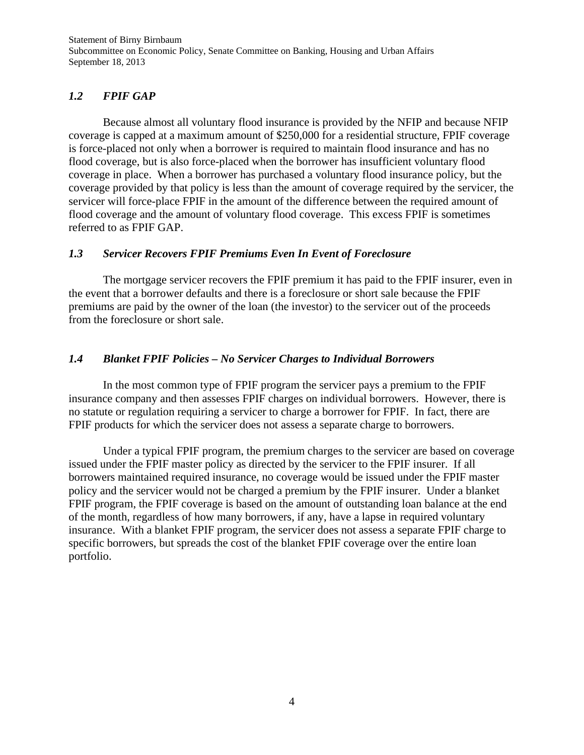# *1.2 FPIF GAP*

Because almost all voluntary flood insurance is provided by the NFIP and because NFIP coverage is capped at a maximum amount of \$250,000 for a residential structure, FPIF coverage is force-placed not only when a borrower is required to maintain flood insurance and has no flood coverage, but is also force-placed when the borrower has insufficient voluntary flood coverage in place. When a borrower has purchased a voluntary flood insurance policy, but the coverage provided by that policy is less than the amount of coverage required by the servicer, the servicer will force-place FPIF in the amount of the difference between the required amount of flood coverage and the amount of voluntary flood coverage. This excess FPIF is sometimes referred to as FPIF GAP.

## *1.3 Servicer Recovers FPIF Premiums Even In Event of Foreclosure*

 The mortgage servicer recovers the FPIF premium it has paid to the FPIF insurer, even in the event that a borrower defaults and there is a foreclosure or short sale because the FPIF premiums are paid by the owner of the loan (the investor) to the servicer out of the proceeds from the foreclosure or short sale.

# *1.4 Blanket FPIF Policies – No Servicer Charges to Individual Borrowers*

In the most common type of FPIF program the servicer pays a premium to the FPIF insurance company and then assesses FPIF charges on individual borrowers. However, there is no statute or regulation requiring a servicer to charge a borrower for FPIF. In fact, there are FPIF products for which the servicer does not assess a separate charge to borrowers.

Under a typical FPIF program, the premium charges to the servicer are based on coverage issued under the FPIF master policy as directed by the servicer to the FPIF insurer. If all borrowers maintained required insurance, no coverage would be issued under the FPIF master policy and the servicer would not be charged a premium by the FPIF insurer. Under a blanket FPIF program, the FPIF coverage is based on the amount of outstanding loan balance at the end of the month, regardless of how many borrowers, if any, have a lapse in required voluntary insurance. With a blanket FPIF program, the servicer does not assess a separate FPIF charge to specific borrowers, but spreads the cost of the blanket FPIF coverage over the entire loan portfolio.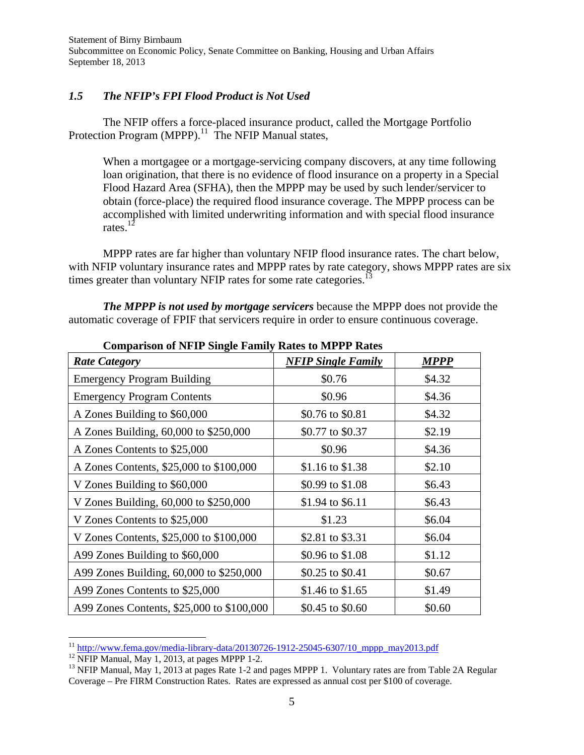## *1.5 The NFIP's FPI Flood Product is Not Used*

The NFIP offers a force-placed insurance product, called the Mortgage Portfolio Protection Program (MPPP).<sup>11</sup> The NFIP Manual states,

When a mortgagee or a mortgage-servicing company discovers, at any time following loan origination, that there is no evidence of flood insurance on a property in a Special Flood Hazard Area (SFHA), then the MPPP may be used by such lender/servicer to obtain (force-place) the required flood insurance coverage. The MPPP process can be accomplished with limited underwriting information and with special flood insurance rates.12

MPPP rates are far higher than voluntary NFIP flood insurance rates. The chart below, with NFIP voluntary insurance rates and MPPP rates by rate category, shows MPPP rates are six times greater than voluntary NFIP rates for some rate categories.<sup>13</sup>

*The MPPP is not used by mortgage servicers* because the MPPP does not provide the automatic coverage of FPIF that servicers require in order to ensure continuous coverage.

| Comparison of typic bingle paintly isales to the FT isales<br><b>Rate Category</b> | <b>NFIP Single Family</b> | <b>MPPP</b> |
|------------------------------------------------------------------------------------|---------------------------|-------------|
| <b>Emergency Program Building</b>                                                  | \$0.76                    | \$4.32      |
| <b>Emergency Program Contents</b>                                                  | \$0.96                    | \$4.36      |
| A Zones Building to \$60,000                                                       | \$0.76 to \$0.81          | \$4.32      |
| A Zones Building, 60,000 to \$250,000                                              | \$0.77 to \$0.37          | \$2.19      |
| A Zones Contents to \$25,000                                                       | \$0.96                    | \$4.36      |
| A Zones Contents, \$25,000 to \$100,000                                            | \$1.16 to \$1.38          | \$2.10      |
| V Zones Building to \$60,000                                                       | \$0.99 to \$1.08          | \$6.43      |
| V Zones Building, 60,000 to \$250,000                                              | \$1.94 to \$6.11          | \$6.43      |
| V Zones Contents to \$25,000                                                       | \$1.23                    | \$6.04      |
| V Zones Contents, \$25,000 to \$100,000                                            | \$2.81 to \$3.31          | \$6.04      |
| A99 Zones Building to \$60,000                                                     | \$0.96 to \$1.08          | \$1.12      |
| A99 Zones Building, 60,000 to \$250,000                                            | \$0.25 to \$0.41          | \$0.67      |
| A99 Zones Contents to \$25,000                                                     | \$1.46 to \$1.65          | \$1.49      |
| A99 Zones Contents, \$25,000 to \$100,000                                          | \$0.45 to \$0.60          | \$0.60      |

**Comparison of NFIP Single Family Rates to MPPP Rates** 

 <sup>11</sup> http://www.fema.gov/media-library-data/20130726-1912-25045-6307/10 mppp\_may2013.pdf <sup>12</sup> NFIP Manual, May 1, 2013, at pages MPPP 1-2.

<sup>&</sup>lt;sup>13</sup> NFIP Manual, May 1, 2013 at pages Rate 1-2 and pages MPPP 1. Voluntary rates are from Table 2A Regular Coverage – Pre FIRM Construction Rates. Rates are expressed as annual cost per \$100 of coverage.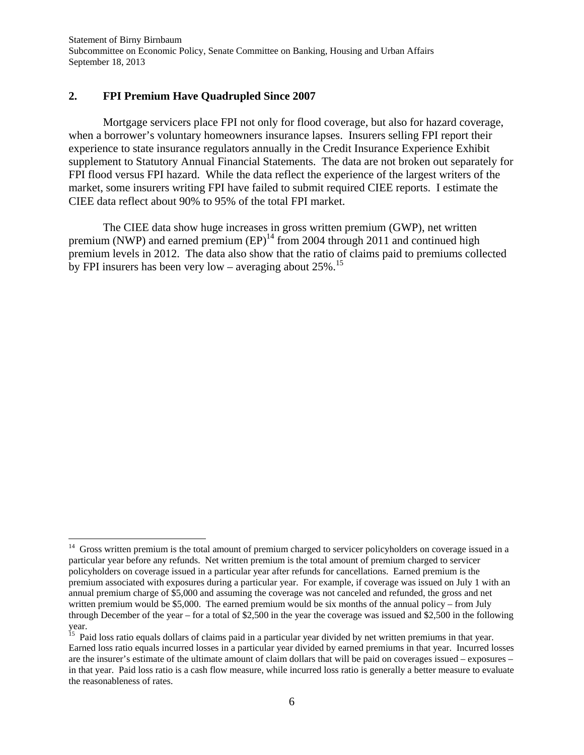## **2. FPI Premium Have Quadrupled Since 2007**

Mortgage servicers place FPI not only for flood coverage, but also for hazard coverage, when a borrower's voluntary homeowners insurance lapses. Insurers selling FPI report their experience to state insurance regulators annually in the Credit Insurance Experience Exhibit supplement to Statutory Annual Financial Statements. The data are not broken out separately for FPI flood versus FPI hazard. While the data reflect the experience of the largest writers of the market, some insurers writing FPI have failed to submit required CIEE reports. I estimate the CIEE data reflect about 90% to 95% of the total FPI market.

The CIEE data show huge increases in gross written premium (GWP), net written premium (NWP) and earned premium  $(EP)^{14}$  from 2004 through 2011 and continued high premium levels in 2012. The data also show that the ratio of claims paid to premiums collected by FPI insurers has been very low – averaging about  $25\%$ .<sup>15</sup>

 $14$  Gross written premium is the total amount of premium charged to servicer policyholders on coverage issued in a particular year before any refunds. Net written premium is the total amount of premium charged to servicer policyholders on coverage issued in a particular year after refunds for cancellations. Earned premium is the premium associated with exposures during a particular year. For example, if coverage was issued on July 1 with an annual premium charge of \$5,000 and assuming the coverage was not canceled and refunded, the gross and net written premium would be \$5,000. The earned premium would be six months of the annual policy – from July through December of the year – for a total of \$2,500 in the year the coverage was issued and \$2,500 in the following year.

<sup>&</sup>lt;sup>15</sup> Paid loss ratio equals dollars of claims paid in a particular year divided by net written premiums in that year. Earned loss ratio equals incurred losses in a particular year divided by earned premiums in that year. Incurred losses are the insurer's estimate of the ultimate amount of claim dollars that will be paid on coverages issued – exposures – in that year. Paid loss ratio is a cash flow measure, while incurred loss ratio is generally a better measure to evaluate the reasonableness of rates.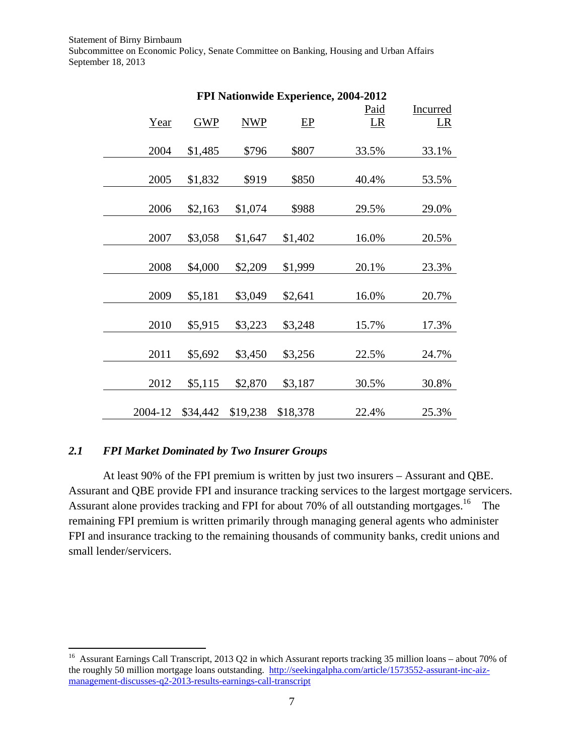| FPI Nationwide Experience, 2004-2012 |            |            |          |       |          |
|--------------------------------------|------------|------------|----------|-------|----------|
|                                      |            |            |          | Paid  | Incurred |
| Year                                 | <b>GWP</b> | <b>NWP</b> | EP       | LR    | LR       |
|                                      |            |            |          |       |          |
| 2004                                 | \$1,485    | \$796      | \$807    | 33.5% | 33.1%    |
|                                      |            |            |          |       |          |
| 2005                                 | \$1,832    | \$919      | \$850    | 40.4% | 53.5%    |
|                                      |            |            |          |       |          |
| 2006                                 | \$2,163    | \$1,074    | \$988    | 29.5% | 29.0%    |
|                                      |            |            |          |       |          |
| 2007                                 | \$3,058    | \$1,647    | \$1,402  | 16.0% | 20.5%    |
|                                      |            |            |          |       |          |
| 2008                                 | \$4,000    | \$2,209    | \$1,999  | 20.1% | 23.3%    |
|                                      |            |            |          |       |          |
| 2009                                 | \$5,181    | \$3,049    | \$2,641  | 16.0% | 20.7%    |
|                                      |            |            |          |       |          |
| 2010                                 | \$5,915    | \$3,223    | \$3,248  | 15.7% | 17.3%    |
|                                      |            |            |          |       |          |
| 2011                                 | \$5,692    | \$3,450    | \$3,256  | 22.5% | 24.7%    |
|                                      |            |            |          |       |          |
| 2012                                 | \$5,115    | \$2,870    | \$3,187  | 30.5% | 30.8%    |
|                                      |            |            |          |       |          |
| 2004-12                              | \$34,442   | \$19,238   | \$18,378 | 22.4% | 25.3%    |

## *2.1 FPI Market Dominated by Two Insurer Groups*

At least 90% of the FPI premium is written by just two insurers – Assurant and QBE. Assurant and QBE provide FPI and insurance tracking services to the largest mortgage servicers. Assurant alone provides tracking and FPI for about 70% of all outstanding mortgages.<sup>16</sup> The remaining FPI premium is written primarily through managing general agents who administer FPI and insurance tracking to the remaining thousands of community banks, credit unions and small lender/servicers.

<sup>&</sup>lt;sup>16</sup> Assurant Earnings Call Transcript, 2013 Q2 in which Assurant reports tracking 35 million loans – about 70% of the roughly 50 million mortgage loans outstanding. http://seekingalpha.com/article/1573552-assurant-inc-aizmanagement-discusses-q2-2013-results-earnings-call-transcript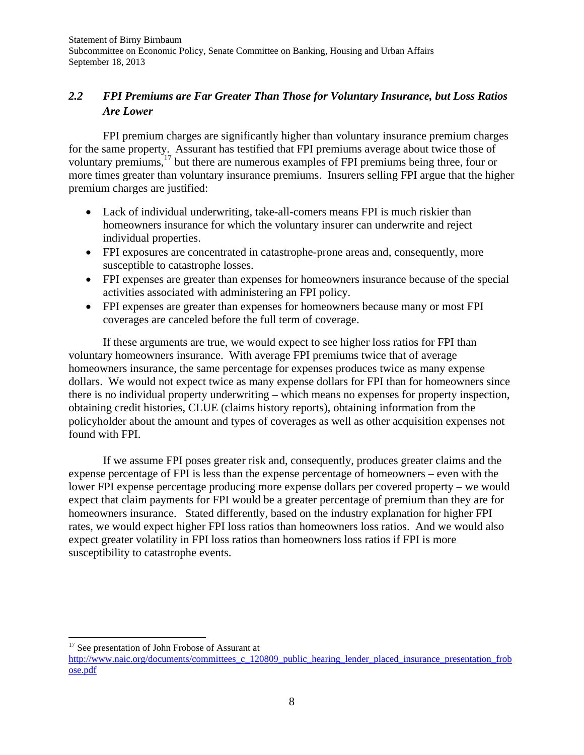# *2.2 FPI Premiums are Far Greater Than Those for Voluntary Insurance, but Loss Ratios Are Lower*

FPI premium charges are significantly higher than voluntary insurance premium charges for the same property. Assurant has testified that FPI premiums average about twice those of voluntary premiums,17 but there are numerous examples of FPI premiums being three, four or more times greater than voluntary insurance premiums. Insurers selling FPI argue that the higher premium charges are justified:

- Lack of individual underwriting, take-all-comers means FPI is much riskier than homeowners insurance for which the voluntary insurer can underwrite and reject individual properties.
- FPI exposures are concentrated in catastrophe-prone areas and, consequently, more susceptible to catastrophe losses.
- FPI expenses are greater than expenses for homeowners insurance because of the special activities associated with administering an FPI policy.
- FPI expenses are greater than expenses for homeowners because many or most FPI coverages are canceled before the full term of coverage.

If these arguments are true, we would expect to see higher loss ratios for FPI than voluntary homeowners insurance. With average FPI premiums twice that of average homeowners insurance, the same percentage for expenses produces twice as many expense dollars. We would not expect twice as many expense dollars for FPI than for homeowners since there is no individual property underwriting – which means no expenses for property inspection, obtaining credit histories, CLUE (claims history reports), obtaining information from the policyholder about the amount and types of coverages as well as other acquisition expenses not found with FPI.

If we assume FPI poses greater risk and, consequently, produces greater claims and the expense percentage of FPI is less than the expense percentage of homeowners – even with the lower FPI expense percentage producing more expense dollars per covered property – we would expect that claim payments for FPI would be a greater percentage of premium than they are for homeowners insurance. Stated differently, based on the industry explanation for higher FPI rates, we would expect higher FPI loss ratios than homeowners loss ratios. And we would also expect greater volatility in FPI loss ratios than homeowners loss ratios if FPI is more susceptibility to catastrophe events.

<sup>&</sup>lt;sup>17</sup> See presentation of John Frobose of Assurant at

http://www.naic.org/documents/committees\_c\_120809\_public\_hearing\_lender\_placed\_insurance\_presentation\_frob ose.pdf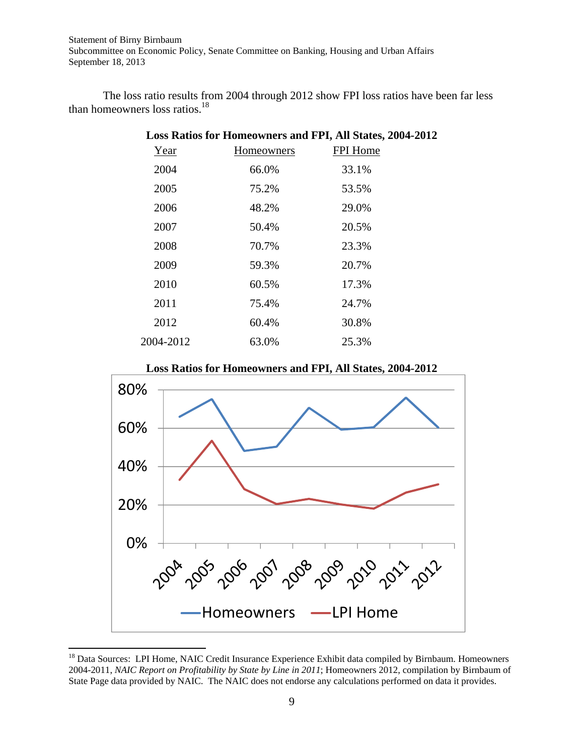The loss ratio results from 2004 through 2012 show FPI loss ratios have been far less than homeowners loss ratios.18

| Loss Ratios for Homeowners and FPI, All States, 2004-2012 |            |          |  |  |
|-----------------------------------------------------------|------------|----------|--|--|
| Year                                                      | Homeowners | FPI Home |  |  |
| 2004                                                      | 66.0%      | 33.1%    |  |  |
| 2005                                                      | 75.2%      | 53.5%    |  |  |
| 2006                                                      | 48.2%      | 29.0%    |  |  |
| 2007                                                      | 50.4%      | 20.5%    |  |  |
| 2008                                                      | 70.7%      | 23.3%    |  |  |
| 2009                                                      | 59.3%      | 20.7%    |  |  |
| 2010                                                      | 60.5%      | 17.3%    |  |  |
| 2011                                                      | 75.4%      | 24.7%    |  |  |
| 2012                                                      | 60.4%      | 30.8%    |  |  |
| 2004-2012                                                 | 63.0%      | 25.3%    |  |  |

**Loss Ratios for Homeowners and FPI, All States, 2004-2012** 



<sup>&</sup>lt;sup>18</sup> Data Sources: LPI Home, NAIC Credit Insurance Experience Exhibit data compiled by Birnbaum. Homeowners 2004-2011, *NAIC Report on Profitability by State by Line in 2011*; Homeowners 2012, compilation by Birnbaum of State Page data provided by NAIC. The NAIC does not endorse any calculations performed on data it provides.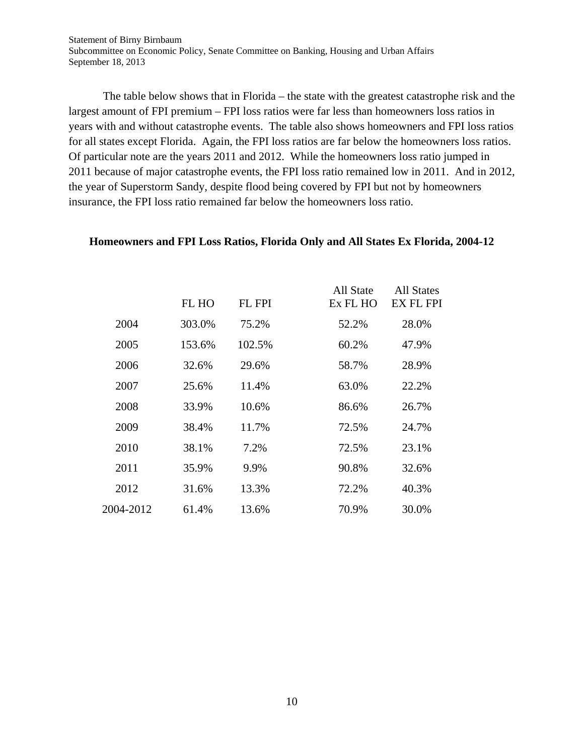The table below shows that in Florida – the state with the greatest catastrophe risk and the largest amount of FPI premium – FPI loss ratios were far less than homeowners loss ratios in years with and without catastrophe events. The table also shows homeowners and FPI loss ratios for all states except Florida. Again, the FPI loss ratios are far below the homeowners loss ratios. Of particular note are the years 2011 and 2012. While the homeowners loss ratio jumped in 2011 because of major catastrophe events, the FPI loss ratio remained low in 2011. And in 2012, the year of Superstorm Sandy, despite flood being covered by FPI but not by homeowners insurance, the FPI loss ratio remained far below the homeowners loss ratio.

#### **Homeowners and FPI Loss Ratios, Florida Only and All States Ex Florida, 2004-12**

|           | FL HO  | <b>FL FPI</b> | All State<br>Ex FL HO | All States<br>EX FL FPI |
|-----------|--------|---------------|-----------------------|-------------------------|
| 2004      | 303.0% | 75.2%         | 52.2%                 | 28.0%                   |
| 2005      | 153.6% | 102.5%        | 60.2%                 | 47.9%                   |
| 2006      | 32.6%  | 29.6%         | 58.7%                 | 28.9%                   |
| 2007      | 25.6%  | 11.4%         | 63.0%                 | 22.2%                   |
| 2008      | 33.9%  | 10.6%         | 86.6%                 | 26.7%                   |
| 2009      | 38.4%  | 11.7%         | 72.5%                 | 24.7%                   |
| 2010      | 38.1%  | 7.2%          | 72.5%                 | 23.1%                   |
| 2011      | 35.9%  | 9.9%          | 90.8%                 | 32.6%                   |
| 2012      | 31.6%  | 13.3%         | 72.2%                 | 40.3%                   |
| 2004-2012 | 61.4%  | 13.6%         | 70.9%                 | 30.0%                   |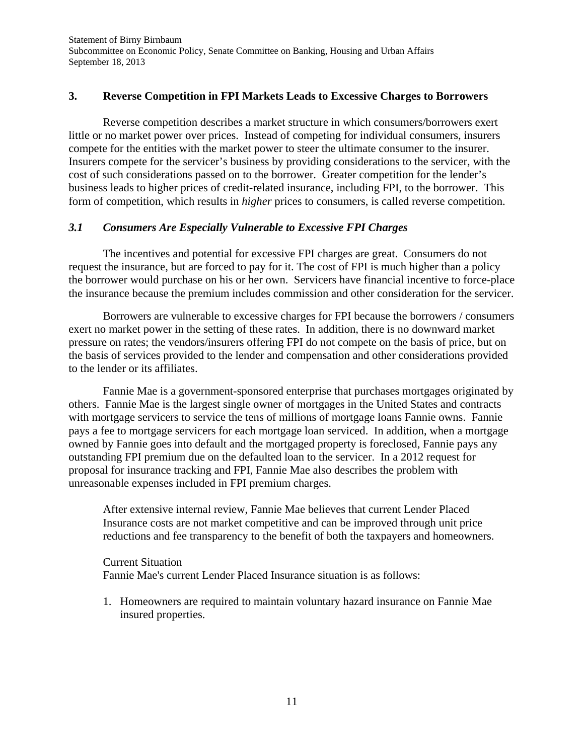#### **3. Reverse Competition in FPI Markets Leads to Excessive Charges to Borrowers**

Reverse competition describes a market structure in which consumers/borrowers exert little or no market power over prices. Instead of competing for individual consumers, insurers compete for the entities with the market power to steer the ultimate consumer to the insurer. Insurers compete for the servicer's business by providing considerations to the servicer, with the cost of such considerations passed on to the borrower. Greater competition for the lender's business leads to higher prices of credit-related insurance, including FPI, to the borrower. This form of competition, which results in *higher* prices to consumers, is called reverse competition.

#### *3.1 Consumers Are Especially Vulnerable to Excessive FPI Charges*

The incentives and potential for excessive FPI charges are great. Consumers do not request the insurance, but are forced to pay for it. The cost of FPI is much higher than a policy the borrower would purchase on his or her own. Servicers have financial incentive to force-place the insurance because the premium includes commission and other consideration for the servicer.

Borrowers are vulnerable to excessive charges for FPI because the borrowers / consumers exert no market power in the setting of these rates. In addition, there is no downward market pressure on rates; the vendors/insurers offering FPI do not compete on the basis of price, but on the basis of services provided to the lender and compensation and other considerations provided to the lender or its affiliates.

Fannie Mae is a government-sponsored enterprise that purchases mortgages originated by others. Fannie Mae is the largest single owner of mortgages in the United States and contracts with mortgage servicers to service the tens of millions of mortgage loans Fannie owns. Fannie pays a fee to mortgage servicers for each mortgage loan serviced. In addition, when a mortgage owned by Fannie goes into default and the mortgaged property is foreclosed, Fannie pays any outstanding FPI premium due on the defaulted loan to the servicer. In a 2012 request for proposal for insurance tracking and FPI, Fannie Mae also describes the problem with unreasonable expenses included in FPI premium charges.

After extensive internal review, Fannie Mae believes that current Lender Placed Insurance costs are not market competitive and can be improved through unit price reductions and fee transparency to the benefit of both the taxpayers and homeowners.

Current Situation Fannie Mae's current Lender Placed Insurance situation is as follows:

1. Homeowners are required to maintain voluntary hazard insurance on Fannie Mae insured properties.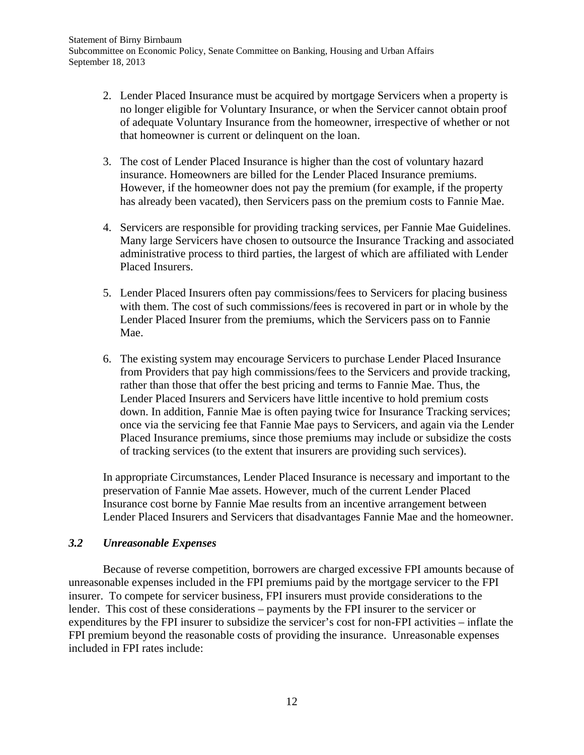- 2. Lender Placed Insurance must be acquired by mortgage Servicers when a property is no longer eligible for Voluntary Insurance, or when the Servicer cannot obtain proof of adequate Voluntary Insurance from the homeowner, irrespective of whether or not that homeowner is current or delinquent on the loan.
- 3. The cost of Lender Placed Insurance is higher than the cost of voluntary hazard insurance. Homeowners are billed for the Lender Placed Insurance premiums. However, if the homeowner does not pay the premium (for example, if the property has already been vacated), then Servicers pass on the premium costs to Fannie Mae.
- 4. Servicers are responsible for providing tracking services, per Fannie Mae Guidelines. Many large Servicers have chosen to outsource the Insurance Tracking and associated administrative process to third parties, the largest of which are affiliated with Lender Placed Insurers.
- 5. Lender Placed Insurers often pay commissions/fees to Servicers for placing business with them. The cost of such commissions/fees is recovered in part or in whole by the Lender Placed Insurer from the premiums, which the Servicers pass on to Fannie Mae.
- 6. The existing system may encourage Servicers to purchase Lender Placed Insurance from Providers that pay high commissions/fees to the Servicers and provide tracking, rather than those that offer the best pricing and terms to Fannie Mae. Thus, the Lender Placed Insurers and Servicers have little incentive to hold premium costs down. In addition, Fannie Mae is often paying twice for Insurance Tracking services; once via the servicing fee that Fannie Mae pays to Servicers, and again via the Lender Placed Insurance premiums, since those premiums may include or subsidize the costs of tracking services (to the extent that insurers are providing such services).

In appropriate Circumstances, Lender Placed Insurance is necessary and important to the preservation of Fannie Mae assets. However, much of the current Lender Placed Insurance cost borne by Fannie Mae results from an incentive arrangement between Lender Placed Insurers and Servicers that disadvantages Fannie Mae and the homeowner.

## *3.2 Unreasonable Expenses*

 Because of reverse competition, borrowers are charged excessive FPI amounts because of unreasonable expenses included in the FPI premiums paid by the mortgage servicer to the FPI insurer. To compete for servicer business, FPI insurers must provide considerations to the lender. This cost of these considerations – payments by the FPI insurer to the servicer or expenditures by the FPI insurer to subsidize the servicer's cost for non-FPI activities – inflate the FPI premium beyond the reasonable costs of providing the insurance. Unreasonable expenses included in FPI rates include: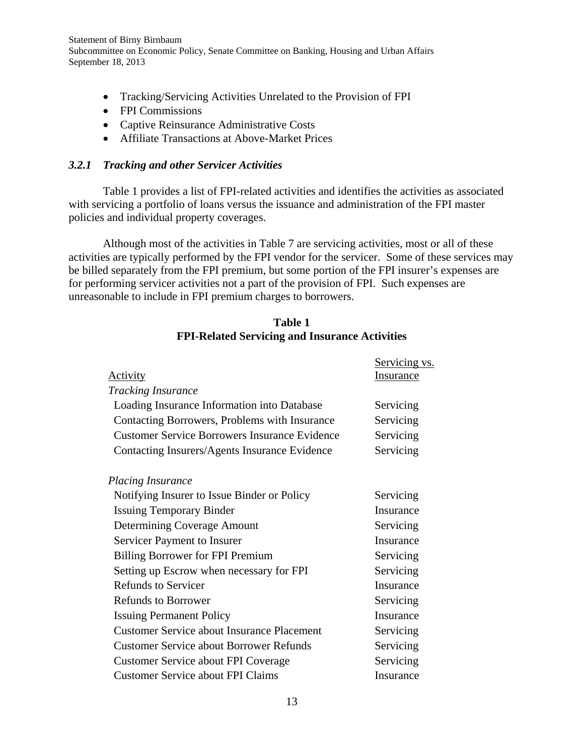- Tracking/Servicing Activities Unrelated to the Provision of FPI
- FPI Commissions
- Captive Reinsurance Administrative Costs
- Affiliate Transactions at Above-Market Prices

#### *3.2.1 Tracking and other Servicer Activities*

Table 1 provides a list of FPI-related activities and identifies the activities as associated with servicing a portfolio of loans versus the issuance and administration of the FPI master policies and individual property coverages.

Although most of the activities in Table 7 are servicing activities, most or all of these activities are typically performed by the FPI vendor for the servicer. Some of these services may be billed separately from the FPI premium, but some portion of the FPI insurer's expenses are for performing servicer activities not a part of the provision of FPI. Such expenses are unreasonable to include in FPI premium charges to borrowers.

|                                                      | Servicing vs.    |
|------------------------------------------------------|------------------|
| <b>Activity</b>                                      | <b>Insurance</b> |
| <b>Tracking Insurance</b>                            |                  |
| Loading Insurance Information into Database          | Servicing        |
| Contacting Borrowers, Problems with Insurance        | Servicing        |
| <b>Customer Service Borrowers Insurance Evidence</b> | Servicing        |
| Contacting Insurers/Agents Insurance Evidence        | Servicing        |
| <b>Placing Insurance</b>                             |                  |
| Notifying Insurer to Issue Binder or Policy          | Servicing        |
| <b>Issuing Temporary Binder</b>                      | Insurance        |
| Determining Coverage Amount                          | Servicing        |
| Servicer Payment to Insurer                          | Insurance        |
| <b>Billing Borrower for FPI Premium</b>              | Servicing        |
| Setting up Escrow when necessary for FPI             | Servicing        |
| <b>Refunds to Servicer</b>                           | Insurance        |
| <b>Refunds to Borrower</b>                           | Servicing        |
| <b>Issuing Permanent Policy</b>                      | Insurance        |
| <b>Customer Service about Insurance Placement</b>    | Servicing        |
| <b>Customer Service about Borrower Refunds</b>       | Servicing        |
| <b>Customer Service about FPI Coverage</b>           | Servicing        |
| <b>Customer Service about FPI Claims</b>             | Insurance        |

## **Table 1 FPI-Related Servicing and Insurance Activities**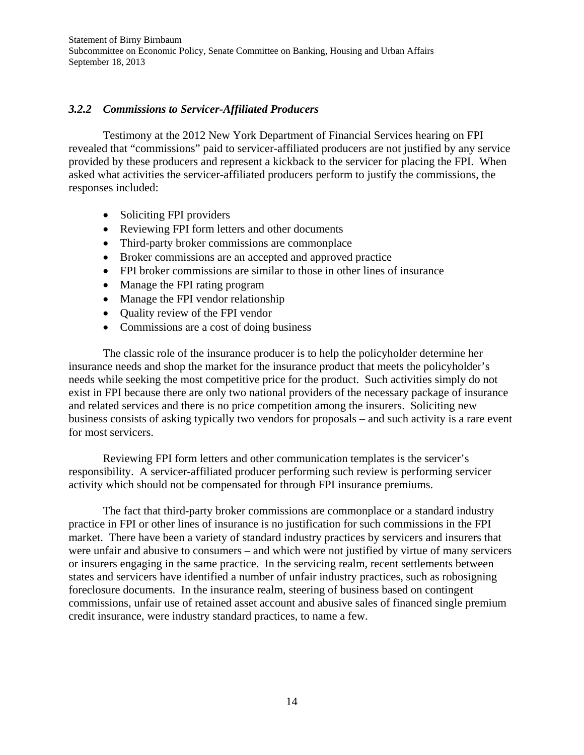## *3.2.2 Commissions to Servicer-Affiliated Producers*

Testimony at the 2012 New York Department of Financial Services hearing on FPI revealed that "commissions" paid to servicer-affiliated producers are not justified by any service provided by these producers and represent a kickback to the servicer for placing the FPI. When asked what activities the servicer-affiliated producers perform to justify the commissions, the responses included:

- Soliciting FPI providers
- Reviewing FPI form letters and other documents
- Third-party broker commissions are commonplace
- Broker commissions are an accepted and approved practice
- FPI broker commissions are similar to those in other lines of insurance
- Manage the FPI rating program
- Manage the FPI vendor relationship
- Quality review of the FPI vendor
- Commissions are a cost of doing business

The classic role of the insurance producer is to help the policyholder determine her insurance needs and shop the market for the insurance product that meets the policyholder's needs while seeking the most competitive price for the product. Such activities simply do not exist in FPI because there are only two national providers of the necessary package of insurance and related services and there is no price competition among the insurers. Soliciting new business consists of asking typically two vendors for proposals – and such activity is a rare event for most servicers.

Reviewing FPI form letters and other communication templates is the servicer's responsibility. A servicer-affiliated producer performing such review is performing servicer activity which should not be compensated for through FPI insurance premiums.

The fact that third-party broker commissions are commonplace or a standard industry practice in FPI or other lines of insurance is no justification for such commissions in the FPI market. There have been a variety of standard industry practices by servicers and insurers that were unfair and abusive to consumers – and which were not justified by virtue of many servicers or insurers engaging in the same practice. In the servicing realm, recent settlements between states and servicers have identified a number of unfair industry practices, such as robosigning foreclosure documents. In the insurance realm, steering of business based on contingent commissions, unfair use of retained asset account and abusive sales of financed single premium credit insurance, were industry standard practices, to name a few.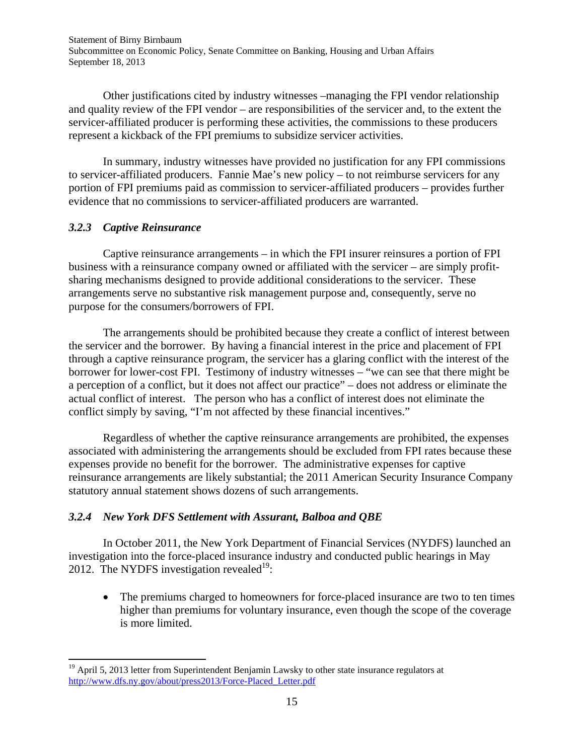Other justifications cited by industry witnesses –managing the FPI vendor relationship and quality review of the FPI vendor – are responsibilities of the servicer and, to the extent the servicer-affiliated producer is performing these activities, the commissions to these producers represent a kickback of the FPI premiums to subsidize servicer activities.

In summary, industry witnesses have provided no justification for any FPI commissions to servicer-affiliated producers. Fannie Mae's new policy – to not reimburse servicers for any portion of FPI premiums paid as commission to servicer-affiliated producers – provides further evidence that no commissions to servicer-affiliated producers are warranted.

## *3.2.3 Captive Reinsurance*

Captive reinsurance arrangements – in which the FPI insurer reinsures a portion of FPI business with a reinsurance company owned or affiliated with the servicer – are simply profitsharing mechanisms designed to provide additional considerations to the servicer. These arrangements serve no substantive risk management purpose and, consequently, serve no purpose for the consumers/borrowers of FPI.

The arrangements should be prohibited because they create a conflict of interest between the servicer and the borrower. By having a financial interest in the price and placement of FPI through a captive reinsurance program, the servicer has a glaring conflict with the interest of the borrower for lower-cost FPI. Testimony of industry witnesses – "we can see that there might be a perception of a conflict, but it does not affect our practice" – does not address or eliminate the actual conflict of interest. The person who has a conflict of interest does not eliminate the conflict simply by saving, "I'm not affected by these financial incentives."

Regardless of whether the captive reinsurance arrangements are prohibited, the expenses associated with administering the arrangements should be excluded from FPI rates because these expenses provide no benefit for the borrower. The administrative expenses for captive reinsurance arrangements are likely substantial; the 2011 American Security Insurance Company statutory annual statement shows dozens of such arrangements.

# *3.2.4 New York DFS Settlement with Assurant, Balboa and QBE*

In October 2011, the New York Department of Financial Services (NYDFS) launched an investigation into the force-placed insurance industry and conducted public hearings in May 2012. The NYDFS investigation revealed<sup>19</sup>:

 The premiums charged to homeowners for force-placed insurance are two to ten times higher than premiums for voluntary insurance, even though the scope of the coverage is more limited.

<sup>&</sup>lt;sup>19</sup> April 5, 2013 letter from Superintendent Benjamin Lawsky to other state insurance regulators at http://www.dfs.ny.gov/about/press2013/Force-Placed\_Letter.pdf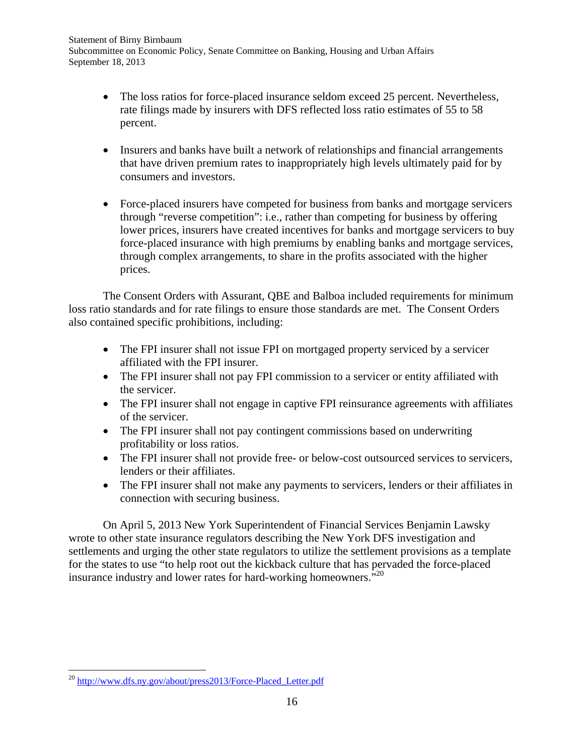- The loss ratios for force-placed insurance seldom exceed 25 percent. Nevertheless, rate filings made by insurers with DFS reflected loss ratio estimates of 55 to 58 percent.
- Insurers and banks have built a network of relationships and financial arrangements that have driven premium rates to inappropriately high levels ultimately paid for by consumers and investors.
- Force-placed insurers have competed for business from banks and mortgage servicers through "reverse competition": i.e., rather than competing for business by offering lower prices, insurers have created incentives for banks and mortgage servicers to buy force-placed insurance with high premiums by enabling banks and mortgage services, through complex arrangements, to share in the profits associated with the higher prices.

The Consent Orders with Assurant, QBE and Balboa included requirements for minimum loss ratio standards and for rate filings to ensure those standards are met. The Consent Orders also contained specific prohibitions, including:

- The FPI insurer shall not issue FPI on mortgaged property serviced by a servicer affiliated with the FPI insurer.
- The FPI insurer shall not pay FPI commission to a servicer or entity affiliated with the servicer.
- The FPI insurer shall not engage in captive FPI reinsurance agreements with affiliates of the servicer.
- The FPI insurer shall not pay contingent commissions based on underwriting profitability or loss ratios.
- The FPI insurer shall not provide free- or below-cost outsourced services to servicers, lenders or their affiliates.
- The FPI insurer shall not make any payments to servicers, lenders or their affiliates in connection with securing business.

On April 5, 2013 New York Superintendent of Financial Services Benjamin Lawsky wrote to other state insurance regulators describing the New York DFS investigation and settlements and urging the other state regulators to utilize the settlement provisions as a template for the states to use "to help root out the kickback culture that has pervaded the force-placed insurance industry and lower rates for hard-working homeowners.<sup>520</sup>

 <sup>20</sup> http://www.dfs.ny.gov/about/press2013/Force-Placed Letter.pdf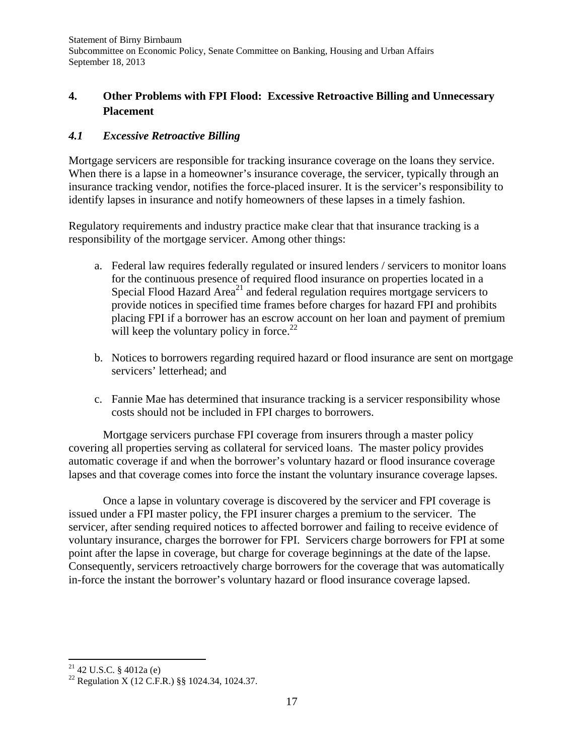# **4. Other Problems with FPI Flood: Excessive Retroactive Billing and Unnecessary Placement**

# *4.1 Excessive Retroactive Billing*

Mortgage servicers are responsible for tracking insurance coverage on the loans they service. When there is a lapse in a homeowner's insurance coverage, the servicer, typically through an insurance tracking vendor, notifies the force-placed insurer. It is the servicer's responsibility to identify lapses in insurance and notify homeowners of these lapses in a timely fashion.

Regulatory requirements and industry practice make clear that that insurance tracking is a responsibility of the mortgage servicer. Among other things:

- a. Federal law requires federally regulated or insured lenders / servicers to monitor loans for the continuous presence of required flood insurance on properties located in a Special Flood Hazard Area<sup>21</sup> and federal regulation requires mortgage servicers to provide notices in specified time frames before charges for hazard FPI and prohibits placing FPI if a borrower has an escrow account on her loan and payment of premium will keep the voluntary policy in force.<sup>22</sup>
- b. Notices to borrowers regarding required hazard or flood insurance are sent on mortgage servicers' letterhead; and
- c. Fannie Mae has determined that insurance tracking is a servicer responsibility whose costs should not be included in FPI charges to borrowers.

Mortgage servicers purchase FPI coverage from insurers through a master policy covering all properties serving as collateral for serviced loans. The master policy provides automatic coverage if and when the borrower's voluntary hazard or flood insurance coverage lapses and that coverage comes into force the instant the voluntary insurance coverage lapses.

Once a lapse in voluntary coverage is discovered by the servicer and FPI coverage is issued under a FPI master policy, the FPI insurer charges a premium to the servicer. The servicer, after sending required notices to affected borrower and failing to receive evidence of voluntary insurance, charges the borrower for FPI. Servicers charge borrowers for FPI at some point after the lapse in coverage, but charge for coverage beginnings at the date of the lapse. Consequently, servicers retroactively charge borrowers for the coverage that was automatically in-force the instant the borrower's voluntary hazard or flood insurance coverage lapsed.

  $^{21}$  42 U.S.C. § 4012a (e)

<sup>22</sup> Regulation X (12 C.F.R.) §§ 1024.34, 1024.37.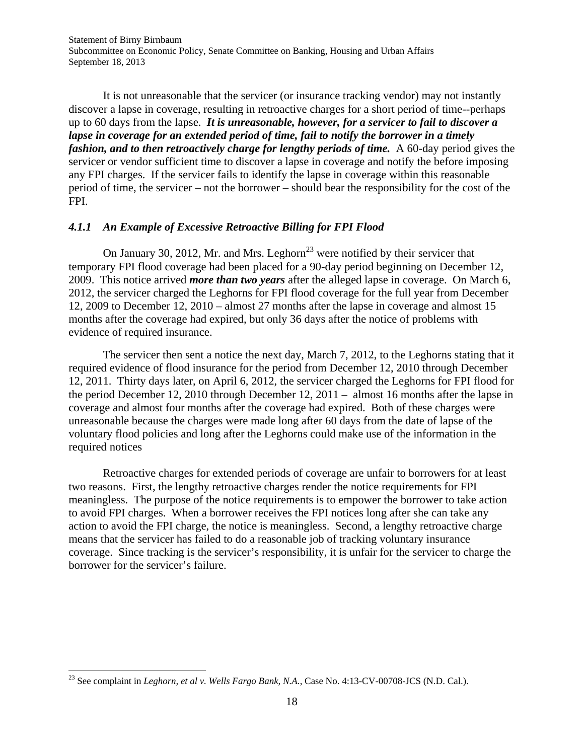It is not unreasonable that the servicer (or insurance tracking vendor) may not instantly discover a lapse in coverage, resulting in retroactive charges for a short period of time--perhaps up to 60 days from the lapse. *It is unreasonable, however, for a servicer to fail to discover a lapse in coverage for an extended period of time, fail to notify the borrower in a timely fashion, and to then retroactively charge for lengthy periods of time.* A 60-day period gives the servicer or vendor sufficient time to discover a lapse in coverage and notify the before imposing any FPI charges. If the servicer fails to identify the lapse in coverage within this reasonable period of time, the servicer – not the borrower – should bear the responsibility for the cost of the FPI.

#### *4.1.1 An Example of Excessive Retroactive Billing for FPI Flood*

On January 30, 2012, Mr. and Mrs. Leghorn<sup>23</sup> were notified by their servicer that temporary FPI flood coverage had been placed for a 90-day period beginning on December 12, 2009. This notice arrived *more than two years* after the alleged lapse in coverage. On March 6, 2012, the servicer charged the Leghorns for FPI flood coverage for the full year from December 12, 2009 to December 12, 2010 – almost 27 months after the lapse in coverage and almost 15 months after the coverage had expired, but only 36 days after the notice of problems with evidence of required insurance.

The servicer then sent a notice the next day, March 7, 2012, to the Leghorns stating that it required evidence of flood insurance for the period from December 12, 2010 through December 12, 2011. Thirty days later, on April 6, 2012, the servicer charged the Leghorns for FPI flood for the period December 12, 2010 through December 12, 2011 – almost 16 months after the lapse in coverage and almost four months after the coverage had expired. Both of these charges were unreasonable because the charges were made long after 60 days from the date of lapse of the voluntary flood policies and long after the Leghorns could make use of the information in the required notices

Retroactive charges for extended periods of coverage are unfair to borrowers for at least two reasons. First, the lengthy retroactive charges render the notice requirements for FPI meaningless. The purpose of the notice requirements is to empower the borrower to take action to avoid FPI charges. When a borrower receives the FPI notices long after she can take any action to avoid the FPI charge, the notice is meaningless. Second, a lengthy retroactive charge means that the servicer has failed to do a reasonable job of tracking voluntary insurance coverage. Since tracking is the servicer's responsibility, it is unfair for the servicer to charge the borrower for the servicer's failure.

<sup>23</sup> See complaint in *Leghorn, et al v. Wells Fargo Bank, N.A.*, Case No. 4:13-CV-00708-JCS (N.D. Cal.).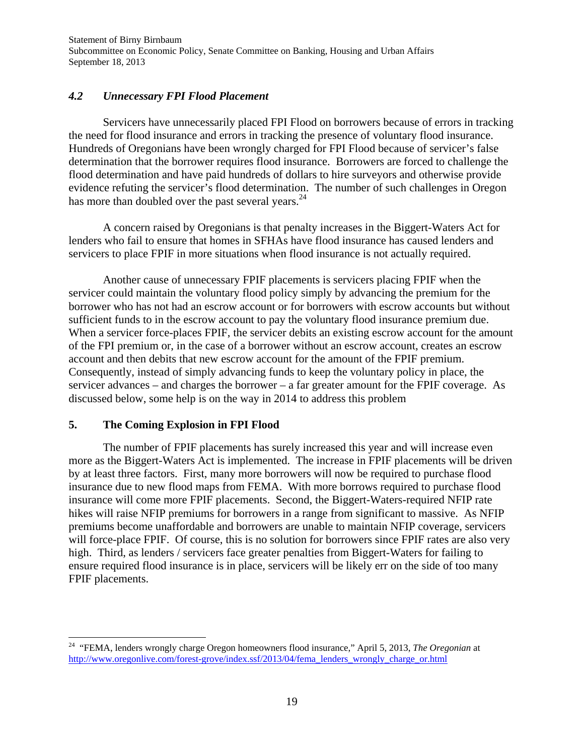## *4.2 Unnecessary FPI Flood Placement*

 Servicers have unnecessarily placed FPI Flood on borrowers because of errors in tracking the need for flood insurance and errors in tracking the presence of voluntary flood insurance. Hundreds of Oregonians have been wrongly charged for FPI Flood because of servicer's false determination that the borrower requires flood insurance. Borrowers are forced to challenge the flood determination and have paid hundreds of dollars to hire surveyors and otherwise provide evidence refuting the servicer's flood determination. The number of such challenges in Oregon has more than doubled over the past several years.<sup>24</sup>

 A concern raised by Oregonians is that penalty increases in the Biggert-Waters Act for lenders who fail to ensure that homes in SFHAs have flood insurance has caused lenders and servicers to place FPIF in more situations when flood insurance is not actually required.

 Another cause of unnecessary FPIF placements is servicers placing FPIF when the servicer could maintain the voluntary flood policy simply by advancing the premium for the borrower who has not had an escrow account or for borrowers with escrow accounts but without sufficient funds to in the escrow account to pay the voluntary flood insurance premium due. When a servicer force-places FPIF, the servicer debits an existing escrow account for the amount of the FPI premium or, in the case of a borrower without an escrow account, creates an escrow account and then debits that new escrow account for the amount of the FPIF premium. Consequently, instead of simply advancing funds to keep the voluntary policy in place, the servicer advances – and charges the borrower – a far greater amount for the FPIF coverage. As discussed below, some help is on the way in 2014 to address this problem

## **5. The Coming Explosion in FPI Flood**

The number of FPIF placements has surely increased this year and will increase even more as the Biggert-Waters Act is implemented. The increase in FPIF placements will be driven by at least three factors. First, many more borrowers will now be required to purchase flood insurance due to new flood maps from FEMA. With more borrows required to purchase flood insurance will come more FPIF placements. Second, the Biggert-Waters-required NFIP rate hikes will raise NFIP premiums for borrowers in a range from significant to massive. As NFIP premiums become unaffordable and borrowers are unable to maintain NFIP coverage, servicers will force-place FPIF. Of course, this is no solution for borrowers since FPIF rates are also very high. Third, as lenders / servicers face greater penalties from Biggert-Waters for failing to ensure required flood insurance is in place, servicers will be likely err on the side of too many FPIF placements.

<sup>24 &</sup>quot;FEMA, lenders wrongly charge Oregon homeowners flood insurance," April 5, 2013, *The Oregonian* at http://www.oregonlive.com/forest-grove/index.ssf/2013/04/fema\_lenders\_wrongly\_charge\_or.html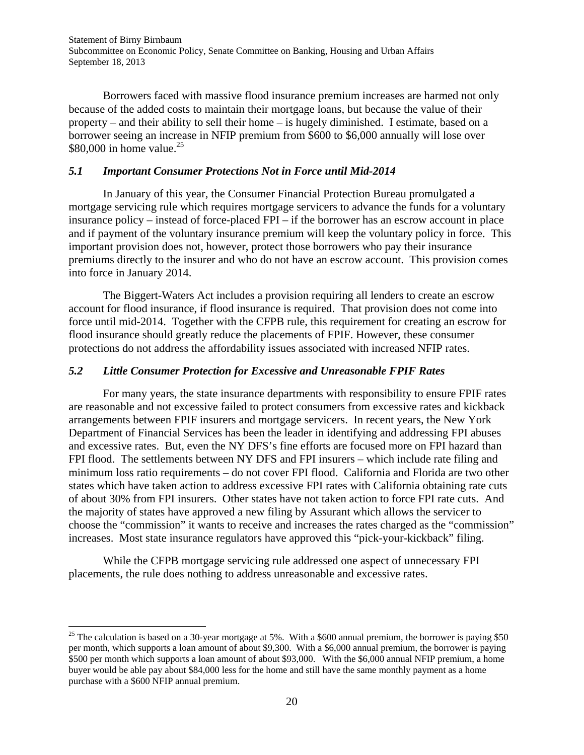Borrowers faced with massive flood insurance premium increases are harmed not only because of the added costs to maintain their mortgage loans, but because the value of their property – and their ability to sell their home – is hugely diminished. I estimate, based on a borrower seeing an increase in NFIP premium from \$600 to \$6,000 annually will lose over \$80,000 in home value.<sup>25</sup>

#### *5.1 Important Consumer Protections Not in Force until Mid-2014*

In January of this year, the Consumer Financial Protection Bureau promulgated a mortgage servicing rule which requires mortgage servicers to advance the funds for a voluntary insurance policy – instead of force-placed FPI – if the borrower has an escrow account in place and if payment of the voluntary insurance premium will keep the voluntary policy in force. This important provision does not, however, protect those borrowers who pay their insurance premiums directly to the insurer and who do not have an escrow account. This provision comes into force in January 2014.

The Biggert-Waters Act includes a provision requiring all lenders to create an escrow account for flood insurance, if flood insurance is required. That provision does not come into force until mid-2014. Together with the CFPB rule, this requirement for creating an escrow for flood insurance should greatly reduce the placements of FPIF. However, these consumer protections do not address the affordability issues associated with increased NFIP rates.

#### *5.2 Little Consumer Protection for Excessive and Unreasonable FPIF Rates*

For many years, the state insurance departments with responsibility to ensure FPIF rates are reasonable and not excessive failed to protect consumers from excessive rates and kickback arrangements between FPIF insurers and mortgage servicers. In recent years, the New York Department of Financial Services has been the leader in identifying and addressing FPI abuses and excessive rates. But, even the NY DFS's fine efforts are focused more on FPI hazard than FPI flood. The settlements between NY DFS and FPI insurers – which include rate filing and minimum loss ratio requirements – do not cover FPI flood. California and Florida are two other states which have taken action to address excessive FPI rates with California obtaining rate cuts of about 30% from FPI insurers. Other states have not taken action to force FPI rate cuts. And the majority of states have approved a new filing by Assurant which allows the servicer to choose the "commission" it wants to receive and increases the rates charged as the "commission" increases. Most state insurance regulators have approved this "pick-your-kickback" filing.

While the CFPB mortgage servicing rule addressed one aspect of unnecessary FPI placements, the rule does nothing to address unreasonable and excessive rates.

<sup>&</sup>lt;sup>25</sup> The calculation is based on a 30-year mortgage at 5%. With a \$600 annual premium, the borrower is paying \$50 per month, which supports a loan amount of about \$9,300. With a \$6,000 annual premium, the borrower is paying \$500 per month which supports a loan amount of about \$93,000. With the \$6,000 annual NFIP premium, a home buyer would be able pay about \$84,000 less for the home and still have the same monthly payment as a home purchase with a \$600 NFIP annual premium.